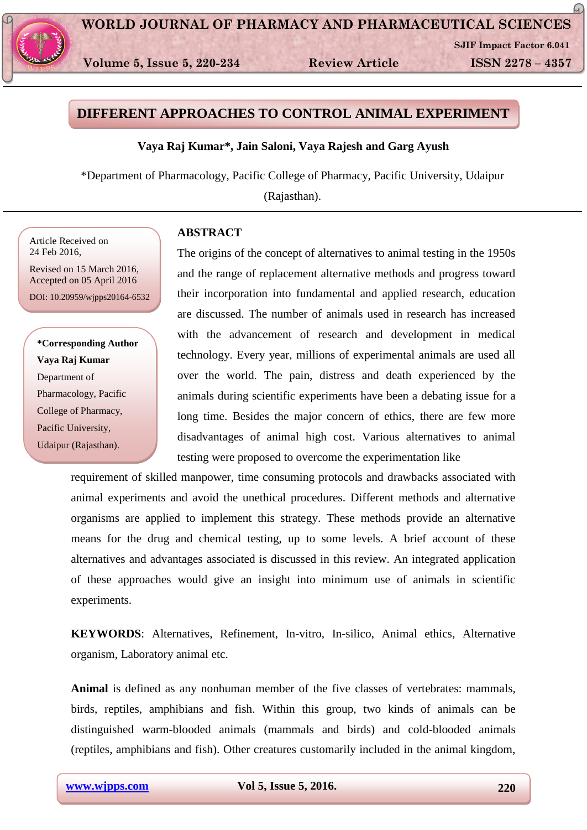



 **Volume 5, Issue 5, 220-234 Review Article ISSN 2278 – 4357**

 **SJIF Impact Factor 6.041**

 $\varpi$ 

## **DIFFERENT APPROACHES TO CONTROL ANIMAL EXPERIMENT**

### **Vaya Raj Kumar\*, Jain Saloni, Vaya Rajesh and Garg Ayush**

\*Department of Pharmacology, Pacific College of Pharmacy, Pacific University, Udaipur

(Rajasthan).

Article Received on 24 Feb 2016,

Revised on 15 March 2016, Accepted on 05 April 2016 DOI: 10.20959/wjpps20164-6532

**\*Corresponding Author Vaya Raj Kumar** Department of Pharmacology, Pacific College of Pharmacy, Pacific University, Udaipur (Rajasthan).

#### **ABSTRACT**

The origins of the concept of alternatives to animal testing in the 1950s and the range of replacement alternative methods and progress toward their incorporation into fundamental and applied research, education are discussed. The number of animals used in research has increased with the advancement of research and development in medical technology. Every year, millions of experimental animals are used all over the world. The pain, distress and death experienced by the animals during scientific experiments have been a debating issue for a long time. Besides the major concern of ethics, there are few more disadvantages of animal high cost. Various alternatives to animal testing were proposed to overcome the experimentation like

requirement of skilled manpower, time consuming protocols and drawbacks associated with animal experiments and avoid the unethical procedures. Different methods and alternative organisms are applied to implement this strategy. These methods provide an alternative means for the drug and chemical testing, up to some levels. A brief account of these alternatives and advantages associated is discussed in this review. An integrated application of these approaches would give an insight into minimum use of animals in scientific experiments.

**KEYWORDS**: Alternatives, Refinement, In-vitro, In-silico, Animal ethics, Alternative organism, Laboratory animal etc.

**Animal** is defined as any nonhuman member of the five classes of vertebrates: mammals, birds, reptiles, amphibians and fish. Within this group, two kinds of animals can be distinguished warm-blooded animals (mammals and birds) and cold-blooded animals (reptiles, amphibians and fish). Other creatures customarily included in the animal kingdom,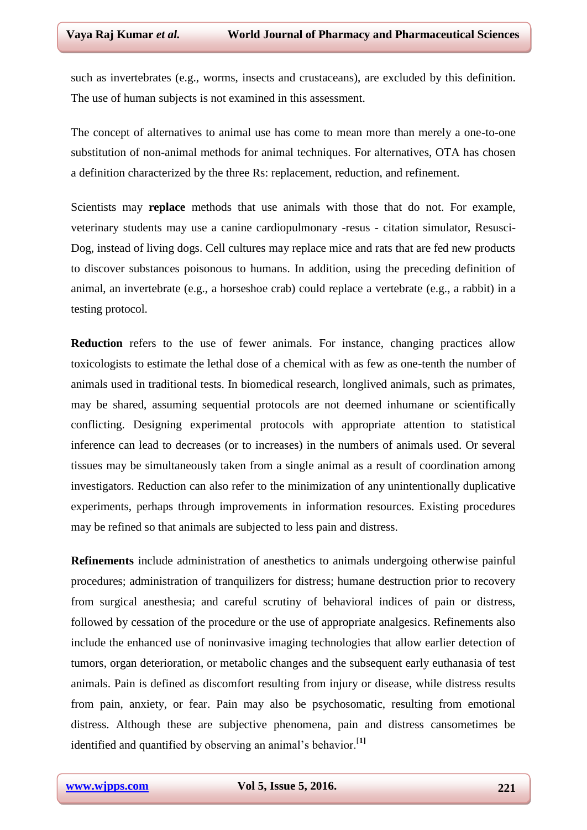such as invertebrates (e.g., worms, insects and crustaceans), are excluded by this definition. The use of human subjects is not examined in this assessment.

The concept of alternatives to animal use has come to mean more than merely a one-to-one substitution of non-animal methods for animal techniques. For alternatives, OTA has chosen a definition characterized by the three Rs: replacement, reduction, and refinement.

Scientists may **replace** methods that use animals with those that do not. For example, veterinary students may use a canine cardiopulmonary -resus - citation simulator, Resusci-Dog, instead of living dogs. Cell cultures may replace mice and rats that are fed new products to discover substances poisonous to humans. In addition, using the preceding definition of animal, an invertebrate (e.g., a horseshoe crab) could replace a vertebrate (e.g., a rabbit) in a testing protocol.

**Reduction** refers to the use of fewer animals. For instance, changing practices allow toxicologists to estimate the lethal dose of a chemical with as few as one-tenth the number of animals used in traditional tests. In biomedical research, longlived animals, such as primates, may be shared, assuming sequential protocols are not deemed inhumane or scientifically conflicting. Designing experimental protocols with appropriate attention to statistical inference can lead to decreases (or to increases) in the numbers of animals used. Or several tissues may be simultaneously taken from a single animal as a result of coordination among investigators. Reduction can also refer to the minimization of any unintentionally duplicative experiments, perhaps through improvements in information resources. Existing procedures may be refined so that animals are subjected to less pain and distress.

**Refinements** include administration of anesthetics to animals undergoing otherwise painful procedures; administration of tranquilizers for distress; humane destruction prior to recovery from surgical anesthesia; and careful scrutiny of behavioral indices of pain or distress, followed by cessation of the procedure or the use of appropriate analgesics. Refinements also include the enhanced use of noninvasive imaging technologies that allow earlier detection of tumors, organ deterioration, or metabolic changes and the subsequent early euthanasia of test animals. Pain is defined as discomfort resulting from injury or disease, while distress results from pain, anxiety, or fear. Pain may also be psychosomatic, resulting from emotional distress. Although these are subjective phenomena, pain and distress cansometimes be identified and quantified by observing an animal's behavior.<sup>[1]</sup>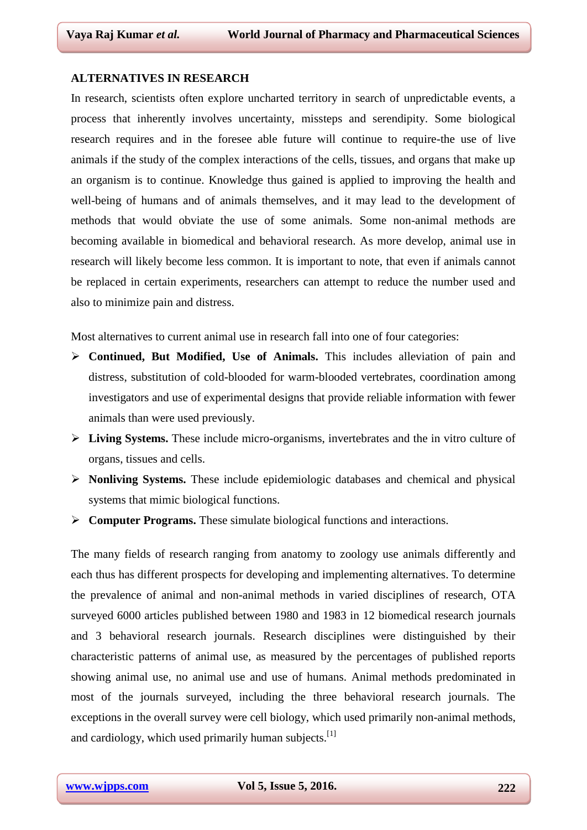#### **ALTERNATIVES IN RESEARCH**

In research, scientists often explore uncharted territory in search of unpredictable events, a process that inherently involves uncertainty, missteps and serendipity. Some biological research requires and in the foresee able future will continue to require-the use of live animals if the study of the complex interactions of the cells, tissues, and organs that make up an organism is to continue. Knowledge thus gained is applied to improving the health and well-being of humans and of animals themselves, and it may lead to the development of methods that would obviate the use of some animals. Some non-animal methods are becoming available in biomedical and behavioral research. As more develop, animal use in research will likely become less common. It is important to note, that even if animals cannot be replaced in certain experiments, researchers can attempt to reduce the number used and also to minimize pain and distress.

Most alternatives to current animal use in research fall into one of four categories:

- **Continued, But Modified, Use of Animals.** This includes alleviation of pain and distress, substitution of cold-blooded for warm-blooded vertebrates, coordination among investigators and use of experimental designs that provide reliable information with fewer animals than were used previously.
- **Living Systems.** These include micro-organisms, invertebrates and the in vitro culture of organs, tissues and cells.
- **Nonliving Systems.** These include epidemiologic databases and chemical and physical systems that mimic biological functions.
- **Computer Programs.** These simulate biological functions and interactions.

The many fields of research ranging from anatomy to zoology use animals differently and each thus has different prospects for developing and implementing alternatives. To determine the prevalence of animal and non-animal methods in varied disciplines of research, OTA surveyed 6000 articles published between 1980 and 1983 in 12 biomedical research journals and 3 behavioral research journals. Research disciplines were distinguished by their characteristic patterns of animal use, as measured by the percentages of published reports showing animal use, no animal use and use of humans. Animal methods predominated in most of the journals surveyed, including the three behavioral research journals. The exceptions in the overall survey were cell biology, which used primarily non-animal methods, and cardiology, which used primarily human subjects. $[1]$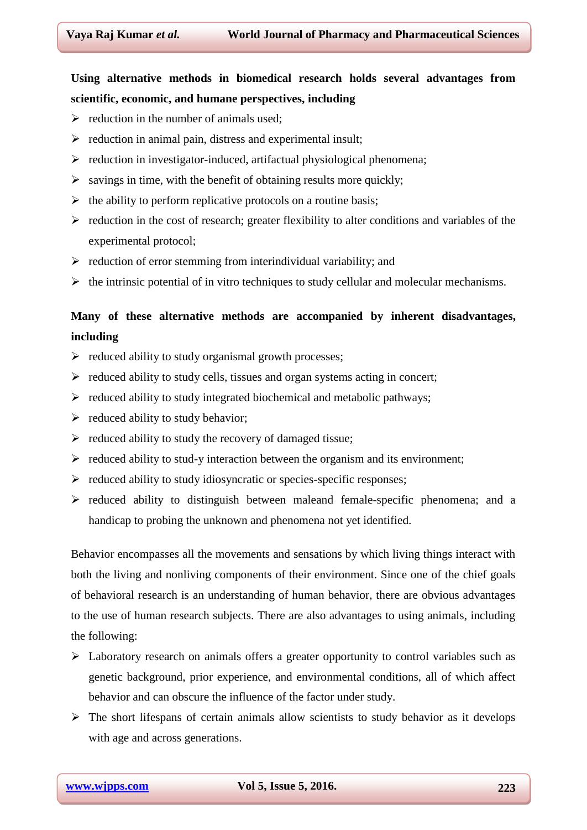# **Using alternative methods in biomedical research holds several advantages from scientific, economic, and humane perspectives, including**

- $\triangleright$  reduction in the number of animals used;
- $\triangleright$  reduction in animal pain, distress and experimental insult;
- $\triangleright$  reduction in investigator-induced, artifactual physiological phenomena;
- $\triangleright$  savings in time, with the benefit of obtaining results more quickly;
- $\triangleright$  the ability to perform replicative protocols on a routine basis;
- $\triangleright$  reduction in the cost of research; greater flexibility to alter conditions and variables of the experimental protocol;
- $\triangleright$  reduction of error stemming from interindividual variability; and
- $\triangleright$  the intrinsic potential of in vitro techniques to study cellular and molecular mechanisms.

# **Many of these alternative methods are accompanied by inherent disadvantages, including**

- $\triangleright$  reduced ability to study organismal growth processes;
- $\triangleright$  reduced ability to study cells, tissues and organ systems acting in concert;
- $\triangleright$  reduced ability to study integrated biochemical and metabolic pathways;
- $\triangleright$  reduced ability to study behavior;
- $\triangleright$  reduced ability to study the recovery of damaged tissue;
- $\triangleright$  reduced ability to stud-y interaction between the organism and its environment;
- $\triangleright$  reduced ability to study idiosyncratic or species-specific responses;
- $\triangleright$  reduced ability to distinguish between maleand female-specific phenomena; and a handicap to probing the unknown and phenomena not yet identified.

Behavior encompasses all the movements and sensations by which living things interact with both the living and nonliving components of their environment. Since one of the chief goals of behavioral research is an understanding of human behavior, there are obvious advantages to the use of human research subjects. There are also advantages to using animals, including the following:

- $\triangleright$  Laboratory research on animals offers a greater opportunity to control variables such as genetic background, prior experience, and environmental conditions, all of which affect behavior and can obscure the influence of the factor under study.
- $\triangleright$  The short lifespans of certain animals allow scientists to study behavior as it develops with age and across generations.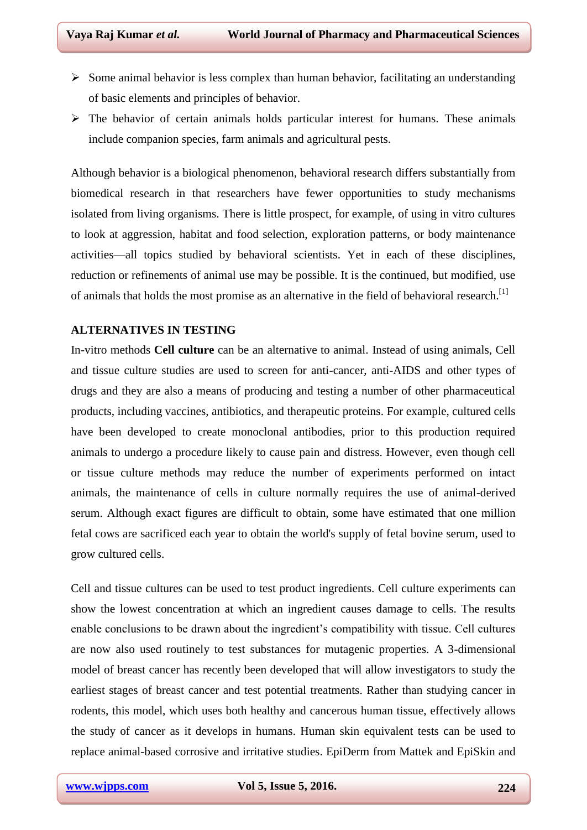- $\triangleright$  Some animal behavior is less complex than human behavior, facilitating an understanding of basic elements and principles of behavior.
- $\triangleright$  The behavior of certain animals holds particular interest for humans. These animals include companion species, farm animals and agricultural pests.

Although behavior is a biological phenomenon, behavioral research differs substantially from biomedical research in that researchers have fewer opportunities to study mechanisms isolated from living organisms. There is little prospect, for example, of using in vitro cultures to look at aggression, habitat and food selection, exploration patterns, or body maintenance activities—all topics studied by behavioral scientists. Yet in each of these disciplines, reduction or refinements of animal use may be possible. It is the continued, but modified, use of animals that holds the most promise as an alternative in the field of behavioral research.<sup>[1]</sup>

### **ALTERNATIVES IN TESTING**

In-vitro methods **Cell culture** can be an alternative to animal. Instead of using animals, Cell and tissue culture studies are used to screen for anti-cancer, anti-AIDS and other types of drugs and they are also a means of producing and testing a number of other pharmaceutical products, including vaccines, antibiotics, and therapeutic proteins. For example, cultured cells have been developed to create monoclonal antibodies, prior to this production required animals to undergo a procedure likely to cause pain and distress. However, even though cell or tissue culture methods may reduce the number of experiments performed on intact animals, the maintenance of cells in culture normally requires the use of animal-derived serum. Although exact figures are difficult to obtain, some have estimated that one million fetal cows are sacrificed each year to obtain the world's supply of fetal bovine serum, used to grow cultured cells.

Cell and tissue cultures can be used to test product ingredients. Cell culture experiments can show the lowest concentration at which an ingredient causes damage to cells. The results enable conclusions to be drawn about the ingredient's compatibility with tissue. Cell cultures are now also used routinely to test substances for mutagenic properties. A 3-dimensional model of breast cancer has recently been developed that will allow investigators to study the earliest stages of breast cancer and test potential treatments. Rather than studying cancer in rodents, this model, which uses both healthy and cancerous human tissue, effectively allows the study of cancer as it develops in humans. Human skin equivalent tests can be used to replace animal-based corrosive and irritative studies. EpiDerm from Mattek and EpiSkin and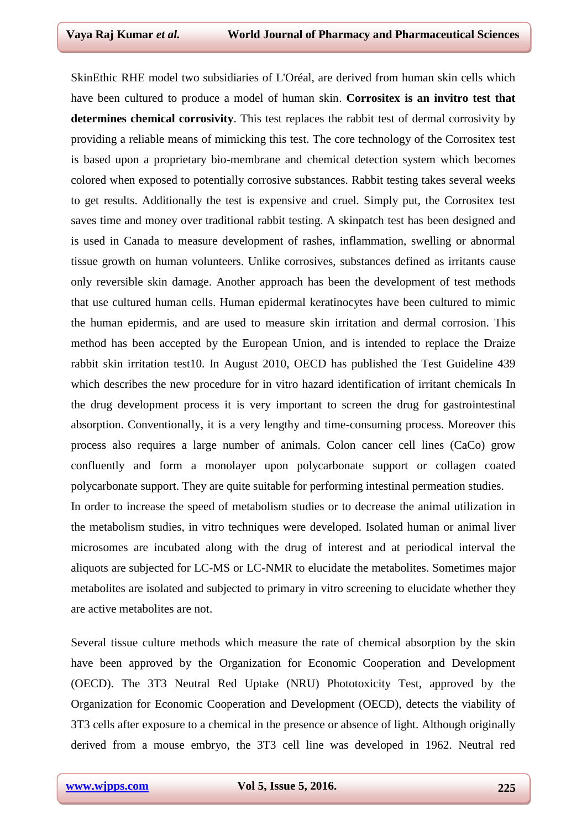SkinEthic RHE model two subsidiaries of L'Oréal, are derived from human skin cells which have been cultured to produce a model of human skin. **Corrositex is an invitro test that determines chemical corrosivity**. This test replaces the rabbit test of dermal corrosivity by providing a reliable means of mimicking this test. The core technology of the Corrositex test is based upon a proprietary bio-membrane and chemical detection system which becomes colored when exposed to potentially corrosive substances. Rabbit testing takes several weeks to get results. Additionally the test is expensive and cruel. Simply put, the Corrositex test saves time and money over traditional rabbit testing. A skinpatch test has been designed and is used in Canada to measure development of rashes, inflammation, swelling or abnormal tissue growth on human volunteers. Unlike corrosives, substances defined as irritants cause only reversible skin damage. Another approach has been the development of test methods that use cultured human cells. Human epidermal keratinocytes have been cultured to mimic the human epidermis, and are used to measure skin irritation and dermal corrosion. This method has been accepted by the European Union, and is intended to replace the Draize rabbit skin irritation test10. In August 2010, OECD has published the Test Guideline 439 which describes the new procedure for in vitro hazard identification of irritant chemicals In the drug development process it is very important to screen the drug for gastrointestinal absorption. Conventionally, it is a very lengthy and time-consuming process. Moreover this process also requires a large number of animals. Colon cancer cell lines (CaCo) grow confluently and form a monolayer upon polycarbonate support or collagen coated polycarbonate support. They are quite suitable for performing intestinal permeation studies. In order to increase the speed of metabolism studies or to decrease the animal utilization in the metabolism studies, in vitro techniques were developed. Isolated human or animal liver microsomes are incubated along with the drug of interest and at periodical interval the aliquots are subjected for LC-MS or LC-NMR to elucidate the metabolites. Sometimes major metabolites are isolated and subjected to primary in vitro screening to elucidate whether they

are active metabolites are not.

Several tissue culture methods which measure the rate of chemical absorption by the skin have been approved by the Organization for Economic Cooperation and Development (OECD). The 3T3 Neutral Red Uptake (NRU) Phototoxicity Test, approved by the Organization for Economic Cooperation and Development (OECD), detects the viability of 3T3 cells after exposure to a chemical in the presence or absence of light. Although originally derived from a mouse embryo, the 3T3 cell line was developed in 1962. Neutral red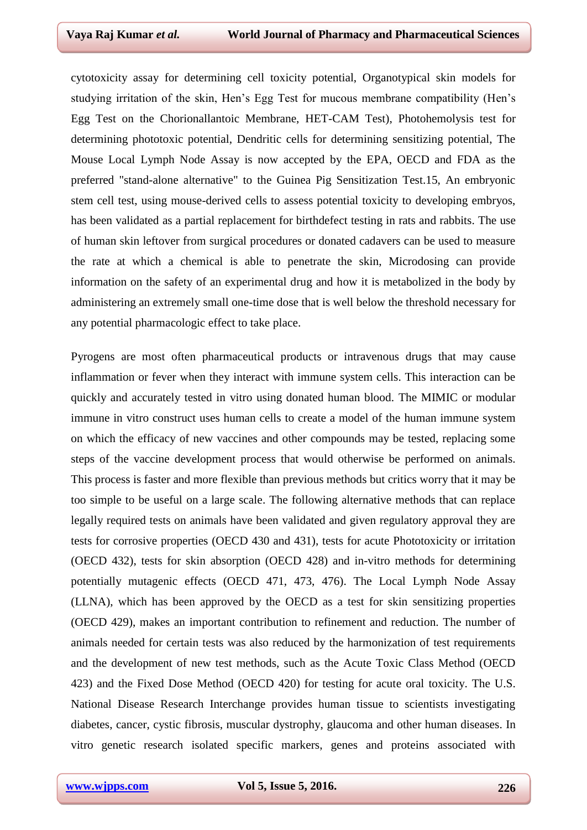cytotoxicity assay for determining cell toxicity potential, Organotypical skin models for studying irritation of the skin, Hen's Egg Test for mucous membrane compatibility (Hen's Egg Test on the Chorionallantoic Membrane, HET-CAM Test), Photohemolysis test for determining phototoxic potential, Dendritic cells for determining sensitizing potential, The Mouse Local Lymph Node Assay is now accepted by the EPA, OECD and FDA as the preferred "stand-alone alternative" to the Guinea Pig Sensitization Test.15, An embryonic stem cell test, using mouse-derived cells to assess potential toxicity to developing embryos, has been validated as a partial replacement for birthdefect testing in rats and rabbits. The use of human skin leftover from surgical procedures or donated cadavers can be used to measure the rate at which a chemical is able to penetrate the skin, Microdosing can provide information on the safety of an experimental drug and how it is metabolized in the body by administering an extremely small one-time dose that is well below the threshold necessary for any potential pharmacologic effect to take place.

Pyrogens are most often pharmaceutical products or intravenous drugs that may cause inflammation or fever when they interact with immune system cells. This interaction can be quickly and accurately tested in vitro using donated human blood. The MIMIC or modular immune in vitro construct uses human cells to create a model of the human immune system on which the efficacy of new vaccines and other compounds may be tested, replacing some steps of the vaccine development process that would otherwise be performed on animals. This process is faster and more flexible than previous methods but critics worry that it may be too simple to be useful on a large scale. The following alternative methods that can replace legally required tests on animals have been validated and given regulatory approval they are tests for corrosive properties (OECD 430 and 431), tests for acute Phototoxicity or irritation (OECD 432), tests for skin absorption (OECD 428) and in-vitro methods for determining potentially mutagenic effects (OECD 471, 473, 476). The Local Lymph Node Assay (LLNA), which has been approved by the OECD as a test for skin sensitizing properties (OECD 429), makes an important contribution to refinement and reduction. The number of animals needed for certain tests was also reduced by the harmonization of test requirements and the development of new test methods, such as the Acute Toxic Class Method (OECD 423) and the Fixed Dose Method (OECD 420) for testing for acute oral toxicity. The U.S. National Disease Research Interchange provides human tissue to scientists investigating diabetes, cancer, cystic fibrosis, muscular dystrophy, glaucoma and other human diseases. In vitro genetic research isolated specific markers, genes and proteins associated with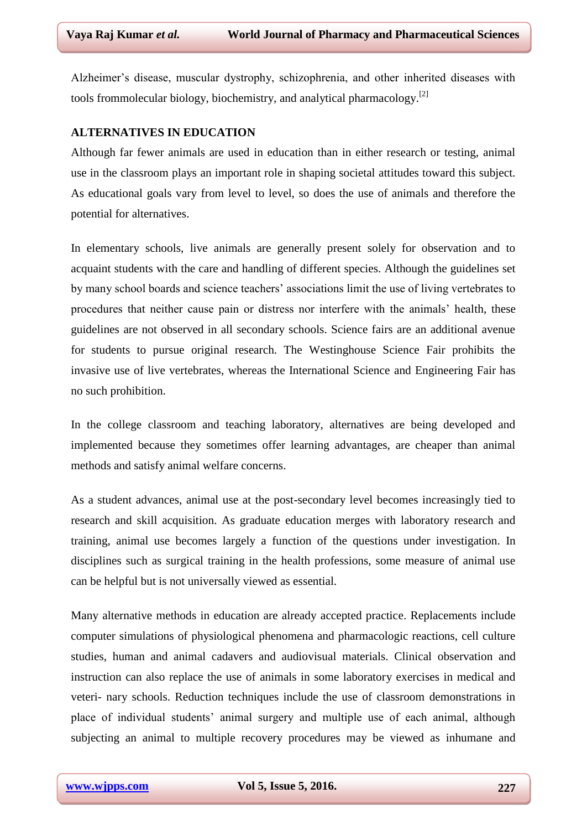Alzheimer's disease, muscular dystrophy, schizophrenia, and other inherited diseases with tools frommolecular biology, biochemistry, and analytical pharmacology.[2]

#### **ALTERNATIVES IN EDUCATION**

Although far fewer animals are used in education than in either research or testing, animal use in the classroom plays an important role in shaping societal attitudes toward this subject. As educational goals vary from level to level, so does the use of animals and therefore the potential for alternatives.

In elementary schools, live animals are generally present solely for observation and to acquaint students with the care and handling of different species. Although the guidelines set by many school boards and science teachers" associations limit the use of living vertebrates to procedures that neither cause pain or distress nor interfere with the animals" health, these guidelines are not observed in all secondary schools. Science fairs are an additional avenue for students to pursue original research. The Westinghouse Science Fair prohibits the invasive use of live vertebrates, whereas the International Science and Engineering Fair has no such prohibition.

In the college classroom and teaching laboratory, alternatives are being developed and implemented because they sometimes offer learning advantages, are cheaper than animal methods and satisfy animal welfare concerns.

As a student advances, animal use at the post-secondary level becomes increasingly tied to research and skill acquisition. As graduate education merges with laboratory research and training, animal use becomes largely a function of the questions under investigation. In disciplines such as surgical training in the health professions, some measure of animal use can be helpful but is not universally viewed as essential.

Many alternative methods in education are already accepted practice. Replacements include computer simulations of physiological phenomena and pharmacologic reactions, cell culture studies, human and animal cadavers and audiovisual materials. Clinical observation and instruction can also replace the use of animals in some laboratory exercises in medical and veteri- nary schools. Reduction techniques include the use of classroom demonstrations in place of individual students" animal surgery and multiple use of each animal, although subjecting an animal to multiple recovery procedures may be viewed as inhumane and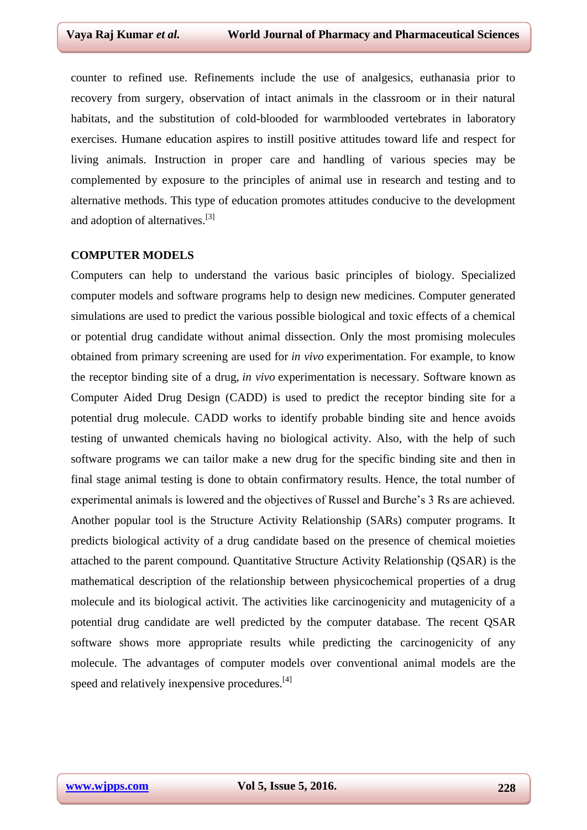counter to refined use. Refinements include the use of analgesics, euthanasia prior to recovery from surgery, observation of intact animals in the classroom or in their natural habitats, and the substitution of cold-blooded for warmblooded vertebrates in laboratory exercises. Humane education aspires to instill positive attitudes toward life and respect for living animals. Instruction in proper care and handling of various species may be complemented by exposure to the principles of animal use in research and testing and to alternative methods. This type of education promotes attitudes conducive to the development and adoption of alternatives.[3]

#### **COMPUTER MODELS**

Computers can help to understand the various basic principles of biology. Specialized computer models and software programs help to design new medicines. Computer generated simulations are used to predict the various possible biological and toxic effects of a chemical or potential drug candidate without animal dissection. Only the most promising molecules obtained from primary screening are used for *in vivo* experimentation. For example, to know the receptor binding site of a drug, *in vivo* experimentation is necessary. Software known as Computer Aided Drug Design (CADD) is used to predict the receptor binding site for a potential drug molecule. CADD works to identify probable binding site and hence avoids testing of unwanted chemicals having no biological activity. Also, with the help of such software programs we can tailor make a new drug for the specific binding site and then in final stage animal testing is done to obtain confirmatory results. Hence, the total number of experimental animals is lowered and the objectives of Russel and Burche"s 3 Rs are achieved. Another popular tool is the Structure Activity Relationship (SARs) computer programs. It predicts biological activity of a drug candidate based on the presence of chemical moieties attached to the parent compound. Quantitative Structure Activity Relationship (QSAR) is the mathematical description of the relationship between physicochemical properties of a drug molecule and its biological activit. The activities like carcinogenicity and mutagenicity of a potential drug candidate are well predicted by the computer database. The recent QSAR software shows more appropriate results while predicting the carcinogenicity of any molecule. The advantages of computer models over conventional animal models are the speed and relatively inexpensive procedures.<sup>[4]</sup>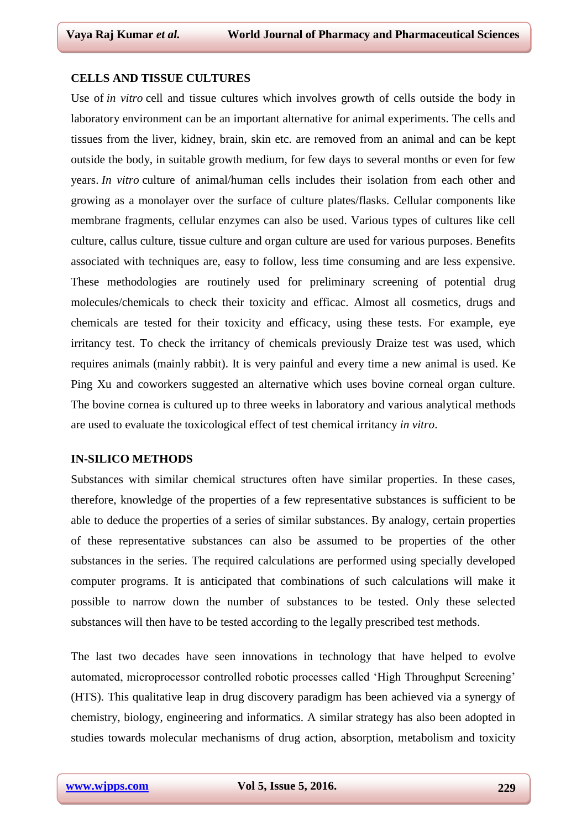#### **CELLS AND TISSUE CULTURES**

Use of *in vitro* cell and tissue cultures which involves growth of cells outside the body in laboratory environment can be an important alternative for animal experiments. The cells and tissues from the liver, kidney, brain, skin etc. are removed from an animal and can be kept outside the body, in suitable growth medium, for few days to several months or even for few years. *In vitro* culture of animal/human cells includes their isolation from each other and growing as a monolayer over the surface of culture plates/flasks. Cellular components like membrane fragments, cellular enzymes can also be used. Various types of cultures like cell culture, callus culture, tissue culture and organ culture are used for various purposes. Benefits associated with techniques are, easy to follow, less time consuming and are less expensive. These methodologies are routinely used for preliminary screening of potential drug molecules/chemicals to check their toxicity and efficac. Almost all cosmetics, drugs and chemicals are tested for their toxicity and efficacy, using these tests. For example, eye irritancy test. To check the irritancy of chemicals previously Draize test was used, which requires animals (mainly rabbit). It is very painful and every time a new animal is used. Ke Ping Xu and coworkers suggested an alternative which uses bovine corneal organ culture. The bovine cornea is cultured up to three weeks in laboratory and various analytical methods are used to evaluate the toxicological effect of test chemical irritancy *in vitro*.

#### **IN-SILICO METHODS**

Substances with similar chemical structures often have similar properties. In these cases, therefore, knowledge of the properties of a few representative substances is sufficient to be able to deduce the properties of a series of similar substances. By analogy, certain properties of these representative substances can also be assumed to be properties of the other substances in the series. The required calculations are performed using specially developed computer programs. It is anticipated that combinations of such calculations will make it possible to narrow down the number of substances to be tested. Only these selected substances will then have to be tested according to the legally prescribed test methods.

The last two decades have seen innovations in technology that have helped to evolve automated, microprocessor controlled robotic processes called "High Throughput Screening" (HTS). This qualitative leap in drug discovery paradigm has been achieved via a synergy of chemistry, biology, engineering and informatics. A similar strategy has also been adopted in studies towards molecular mechanisms of drug action, absorption, metabolism and toxicity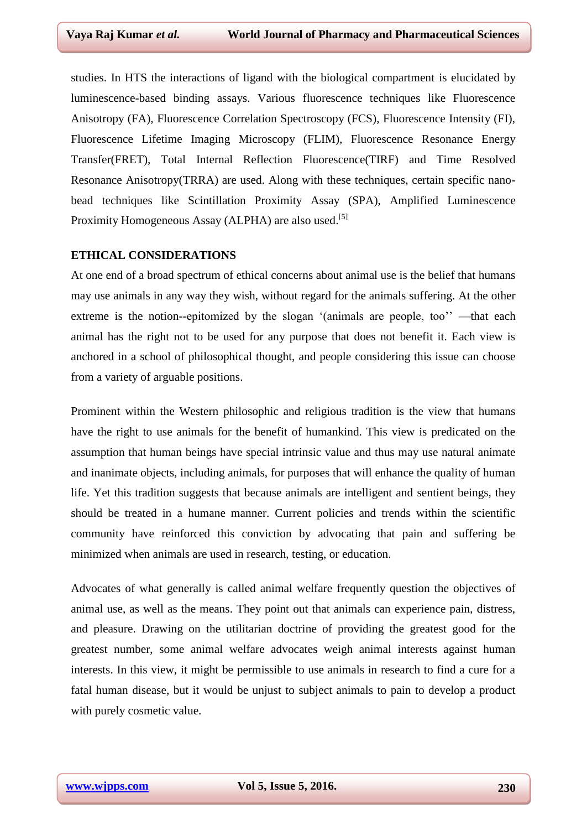studies. In HTS the interactions of ligand with the biological compartment is elucidated by luminescence-based binding assays. Various fluorescence techniques like Fluorescence Anisotropy (FA), Fluorescence Correlation Spectroscopy (FCS), Fluorescence Intensity (FI), Fluorescence Lifetime Imaging Microscopy (FLIM), Fluorescence Resonance Energy Transfer(FRET), Total Internal Reflection Fluorescence(TIRF) and Time Resolved Resonance Anisotropy(TRRA) are used. Along with these techniques, certain specific nanobead techniques like Scintillation Proximity Assay (SPA), Amplified Luminescence Proximity Homogeneous Assay (ALPHA) are also used.<sup>[5]</sup>

#### **ETHICAL CONSIDERATIONS**

At one end of a broad spectrum of ethical concerns about animal use is the belief that humans may use animals in any way they wish, without regard for the animals suffering. At the other extreme is the notion--epitomized by the slogan '(animals are people, too'' —that each animal has the right not to be used for any purpose that does not benefit it. Each view is anchored in a school of philosophical thought, and people considering this issue can choose from a variety of arguable positions.

Prominent within the Western philosophic and religious tradition is the view that humans have the right to use animals for the benefit of humankind. This view is predicated on the assumption that human beings have special intrinsic value and thus may use natural animate and inanimate objects, including animals, for purposes that will enhance the quality of human life. Yet this tradition suggests that because animals are intelligent and sentient beings, they should be treated in a humane manner. Current policies and trends within the scientific community have reinforced this conviction by advocating that pain and suffering be minimized when animals are used in research, testing, or education.

Advocates of what generally is called animal welfare frequently question the objectives of animal use, as well as the means. They point out that animals can experience pain, distress, and pleasure. Drawing on the utilitarian doctrine of providing the greatest good for the greatest number, some animal welfare advocates weigh animal interests against human interests. In this view, it might be permissible to use animals in research to find a cure for a fatal human disease, but it would be unjust to subject animals to pain to develop a product with purely cosmetic value.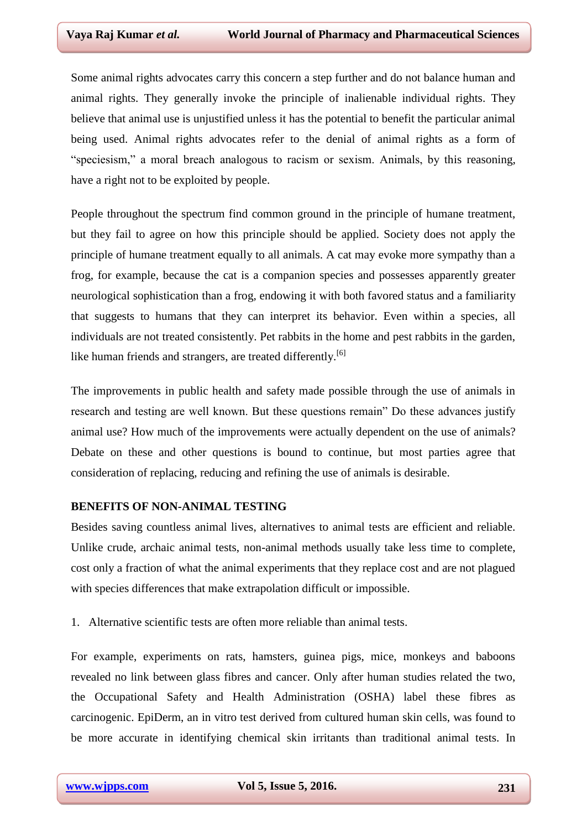Some animal rights advocates carry this concern a step further and do not balance human and animal rights. They generally invoke the principle of inalienable individual rights. They believe that animal use is unjustified unless it has the potential to benefit the particular animal being used. Animal rights advocates refer to the denial of animal rights as a form of "speciesism," a moral breach analogous to racism or sexism. Animals, by this reasoning, have a right not to be exploited by people.

People throughout the spectrum find common ground in the principle of humane treatment, but they fail to agree on how this principle should be applied. Society does not apply the principle of humane treatment equally to all animals. A cat may evoke more sympathy than a frog, for example, because the cat is a companion species and possesses apparently greater neurological sophistication than a frog, endowing it with both favored status and a familiarity that suggests to humans that they can interpret its behavior. Even within a species, all individuals are not treated consistently. Pet rabbits in the home and pest rabbits in the garden, like human friends and strangers, are treated differently.<sup>[6]</sup>

The improvements in public health and safety made possible through the use of animals in research and testing are well known. But these questions remain" Do these advances justify animal use? How much of the improvements were actually dependent on the use of animals? Debate on these and other questions is bound to continue, but most parties agree that consideration of replacing, reducing and refining the use of animals is desirable.

#### **BENEFITS OF NON-ANIMAL TESTING**

Besides saving countless animal lives, alternatives to animal tests are efficient and reliable. Unlike crude, archaic animal tests, non-animal methods usually take less time to complete, cost only a fraction of what the animal experiments that they replace cost and are not plagued with species differences that make extrapolation difficult or impossible.

1. Alternative scientific tests are often more reliable than animal tests.

For example, experiments on rats, hamsters, guinea pigs, mice, monkeys and baboons revealed no link between glass fibres and cancer. Only after human studies related the two, the Occupational Safety and Health Administration (OSHA) label these fibres as carcinogenic. EpiDerm, an in vitro test derived from cultured human skin cells, was found to be more accurate in identifying chemical skin irritants than traditional animal tests. In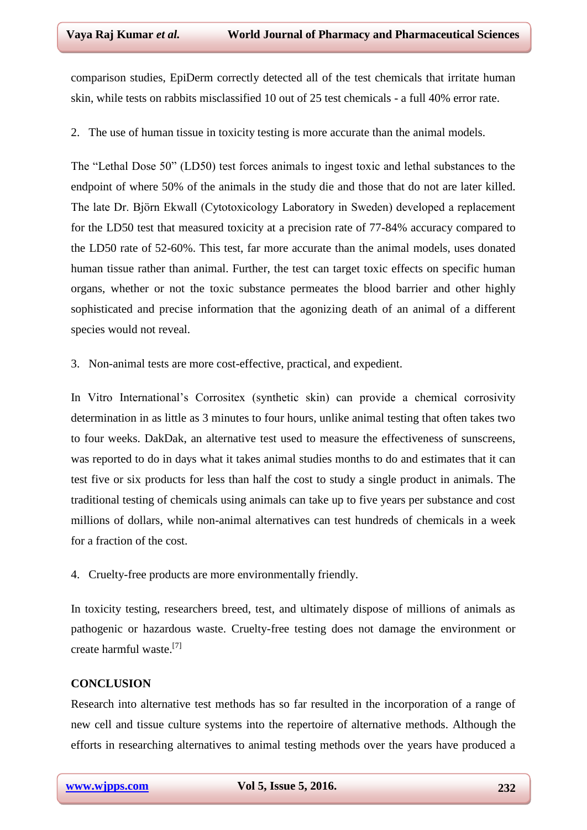comparison studies, EpiDerm correctly detected all of the test chemicals that irritate human skin, while tests on rabbits misclassified 10 out of 25 test chemicals - a full 40% error rate.

2. The use of human tissue in toxicity testing is more accurate than the animal models.

The "Lethal Dose 50" (LD50) test forces animals to ingest toxic and lethal substances to the endpoint of where 50% of the animals in the study die and those that do not are later killed. The late Dr. Bjӧrn Ekwall (Cytotoxicology Laboratory in Sweden) developed a replacement for the LD50 test that measured toxicity at a precision rate of 77-84% accuracy compared to the LD50 rate of 52-60%. This test, far more accurate than the animal models, uses donated human tissue rather than animal. Further, the test can target toxic effects on specific human organs, whether or not the toxic substance permeates the blood barrier and other highly sophisticated and precise information that the agonizing death of an animal of a different species would not reveal.

3. Non-animal tests are more cost-effective, practical, and expedient.

In Vitro International"s Corrositex (synthetic skin) can provide a chemical corrosivity determination in as little as 3 minutes to four hours, unlike animal testing that often takes two to four weeks. DakDak, an alternative test used to measure the effectiveness of sunscreens, was reported to do in days what it takes animal studies months to do and estimates that it can test five or six products for less than half the cost to study a single product in animals. The traditional testing of chemicals using animals can take up to five years per substance and cost millions of dollars, while non-animal alternatives can test hundreds of chemicals in a week for a fraction of the cost.

4. Cruelty-free products are more environmentally friendly.

In toxicity testing, researchers breed, test, and ultimately dispose of millions of animals as pathogenic or hazardous waste. Cruelty-free testing does not damage the environment or create harmful waste. [7]

#### **CONCLUSION**

Research into alternative test methods has so far resulted in the incorporation of a range of new cell and tissue culture systems into the repertoire of alternative methods. Although the efforts in researching alternatives to animal testing methods over the years have produced a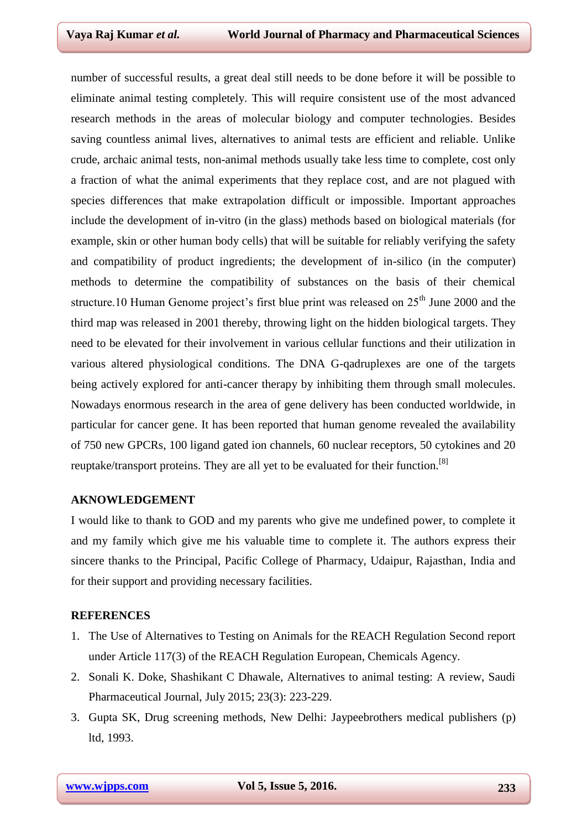number of successful results, a great deal still needs to be done before it will be possible to eliminate animal testing completely. This will require consistent use of the most advanced research methods in the areas of molecular biology and computer technologies. Besides saving countless animal lives, alternatives to animal tests are efficient and reliable. Unlike crude, archaic animal tests, non-animal methods usually take less time to complete, cost only a fraction of what the animal experiments that they replace cost, and are not plagued with species differences that make extrapolation difficult or impossible. Important approaches include the development of in-vitro (in the glass) methods based on biological materials (for example, skin or other human body cells) that will be suitable for reliably verifying the safety and compatibility of product ingredients; the development of in-silico (in the computer) methods to determine the compatibility of substances on the basis of their chemical structure.10 Human Genome project's first blue print was released on  $25<sup>th</sup>$  June 2000 and the third map was released in 2001 thereby, throwing light on the hidden biological targets. They need to be elevated for their involvement in various cellular functions and their utilization in various altered physiological conditions. The DNA G-qadruplexes are one of the targets being actively explored for anti-cancer therapy by inhibiting them through small molecules. Nowadays enormous research in the area of gene delivery has been conducted worldwide, in particular for cancer gene. It has been reported that human genome revealed the availability of 750 new GPCRs, 100 ligand gated ion channels, 60 nuclear receptors, 50 cytokines and 20 reuptake/transport proteins. They are all yet to be evaluated for their function.<sup>[8]</sup>

#### **AKNOWLEDGEMENT**

I would like to thank to GOD and my parents who give me undefined power, to complete it and my family which give me his valuable time to complete it. The authors express their sincere thanks to the Principal, Pacific College of Pharmacy, Udaipur, Rajasthan, India and for their support and providing necessary facilities.

#### **REFERENCES**

- 1. The Use of Alternatives to Testing on Animals for the REACH Regulation Second report under Article 117(3) of the REACH Regulation European, Chemicals Agency.
- 2. Sonali K. Doke, Shashikant C Dhawale, Alternatives to animal testing: A review, Saudi Pharmaceutical Journal, July 2015; 23(3): 223-229.
- 3. Gupta SK, Drug screening methods, New Delhi: Jaypeebrothers medical publishers (p) ltd, 1993.